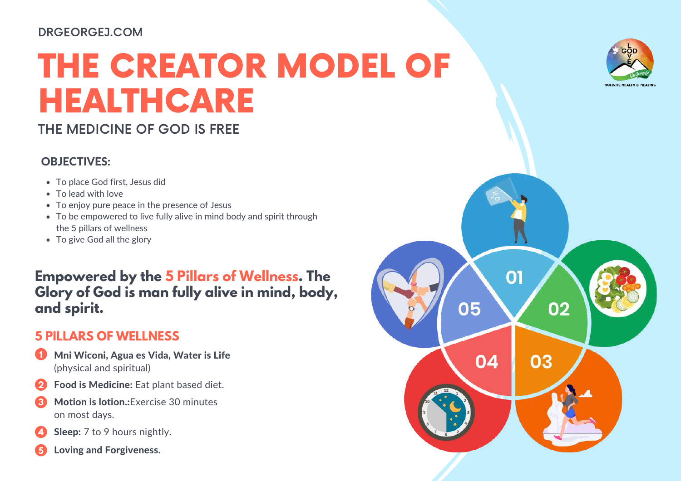#### DRGEORGEJ.COM

# THE CREATOR MODEL OF HEALTHCARE

# THE MEDICINE OF GOD IS FREE

### OBJECTIVES:

- To place God first, Jesus did
- To lead with love
- To enjoy pure peace in the presence of Jesus
- To be empowered to live fully alive in mind body and spirit through the 5 pillars of wellness
- To give God all the glory

**Empowered by the 5 Pillars of Wellness. The Glory of God is man fully alive in mind, body, and spirit.**

# **5 PILLARS OF WELLNESS**

- Mni Wiconi, Agua es Vida, Water is Life (physical and spiritual) **1**
- Food is Medicine: Eat plant based diet. **2**
- Motion is lotion.:Exercise 30 minutes on most days. **3**
- Sleep: 7 to 9 hours nightly. **4**
- Loving and Forgiveness. **5**